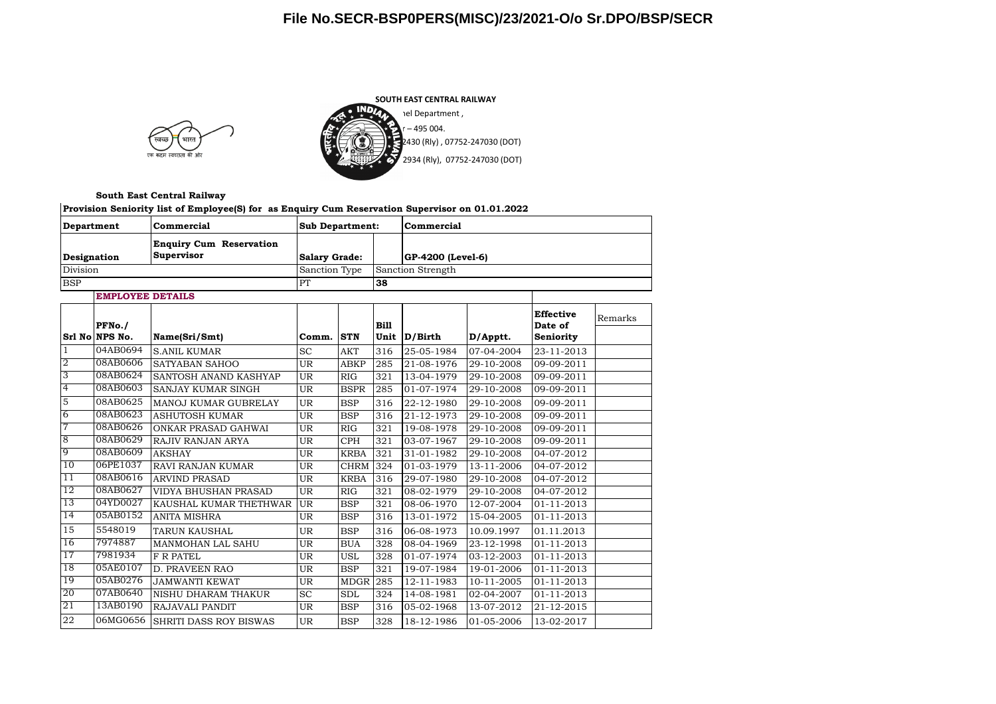## **File No.SECR-BSP0PERS(MISC)/23/2021-O/o Sr.DPO/BSP/SECR**





**South East Central Railway**

| Commercial<br>Department<br><b>Enquiry Cum Reservation</b><br>Supervisor<br>Designation<br>Division |                         |                               | <b>Sub Department:</b>   |             |                   | Commercial                  |              |                             |         |  |
|-----------------------------------------------------------------------------------------------------|-------------------------|-------------------------------|--------------------------|-------------|-------------------|-----------------------------|--------------|-----------------------------|---------|--|
|                                                                                                     |                         |                               | <b>Salary Grade:</b>     |             |                   | GP-4200 (Level-6)           |              |                             |         |  |
|                                                                                                     |                         | Sanction Type<br>PT           |                          |             | Sanction Strength |                             |              |                             |         |  |
| <b>BSP</b>                                                                                          |                         |                               |                          | 38          |                   |                             |              |                             |         |  |
|                                                                                                     | <b>EMPLOYEE DETAILS</b> |                               |                          |             |                   |                             |              |                             |         |  |
|                                                                                                     | PFNo./                  |                               |                          |             | Bill              |                             |              | <b>Effective</b><br>Date of | Remarks |  |
|                                                                                                     | Srl No NPS No.          | Name(Sri/Smt)                 | Comm.                    | <b>STN</b>  | Unit              | D/Birth                     | D/Apptt.     | Seniority                   |         |  |
| $\mathbf{1}$                                                                                        | 04AB0694                | <b>S.ANIL KUMAR</b>           | <b>SC</b>                | <b>AKT</b>  | 316               | 25-05-1984                  | 07-04-2004   | 23-11-2013                  |         |  |
| $\overline{2}$                                                                                      | 08AB0606                | <b>SATYABAN SAHOO</b>         | <b>UR</b>                | <b>ABKP</b> | 285               | 21-08-1976                  | 29-10-2008   | $09-09-2011$                |         |  |
| 3                                                                                                   | 08AB0624                | SANTOSH ANAND KASHYAP         | <b>UR</b>                | RIG         | 321               | 13-04-1979                  | 29-10-2008   | 09-09-2011                  |         |  |
| $\overline{4}$                                                                                      | 08AB0603                | <b>SANJAY KUMAR SINGH</b>     | <b>UR</b>                | <b>BSPR</b> | 285               | 01-07-1974                  | 29-10-2008   | 09-09-2011                  |         |  |
| 5                                                                                                   | 08AB0625                | MANOJ KUMAR GUBRELAY          | <b>UR</b>                | <b>BSP</b>  | 316               | 22-12-1980                  | 29-10-2008   | 09-09-2011                  |         |  |
| 6                                                                                                   | 08AB0623                | <b>ASHUTOSH KUMAR</b>         | $\overline{\mathtt{UR}}$ | <b>BSP</b>  | 316               | 21-12-1973                  | 29-10-2008   | 09-09-2011                  |         |  |
| 7                                                                                                   | 08AB0626                | ONKAR PRASAD GAHWAI           | <b>UR</b>                | RIG         | 321               | 19-08-1978                  | 29-10-2008   | 09-09-2011                  |         |  |
| 8                                                                                                   | 08AB0629                | RAJIV RANJAN ARYA             | <b>UR</b>                | <b>CPH</b>  | 321               | 03-07-1967                  | 29-10-2008   | 09-09-2011                  |         |  |
| 9                                                                                                   | 08AB0609                | <b>AKSHAY</b>                 | <b>UR</b>                | <b>KRBA</b> | 321               | 31-01-1982                  | $29-10-2008$ | $04-07-2012$                |         |  |
| 10                                                                                                  | 06PE1037                | <b>RAVI RANJAN KUMAR</b>      | $\overline{\text{UR}}$   | <b>CHRM</b> | 324               | 01-03-1979                  | 13-11-2006   | 04-07-2012                  |         |  |
| $\overline{11}$                                                                                     | 08AB0616                | <b>ARVIND PRASAD</b>          | <b>UR</b>                | <b>KRBA</b> | 316               | 29-07-1980                  | 29-10-2008   | 04-07-2012                  |         |  |
| 12                                                                                                  | 08AB0627                | <b>VIDYA BHUSHAN PRASAD</b>   | <b>UR</b>                | RIG         | 321               | $\overline{08} - 02 - 1979$ | 29-10-2008   | 04-07-2012                  |         |  |
| 13                                                                                                  | 04YD0027                | KAUSHAL KUMAR THETHWAR        | UR                       | <b>BSP</b>  | 321               | 08-06-1970                  | 12-07-2004   | 01-11-2013                  |         |  |
| 14                                                                                                  | 05AB0152                | <b>ANITA MISHRA</b>           | <b>UR</b>                | <b>BSP</b>  | 316               | $13 - 01 - 1972$            | $15-04-2005$ | $\overline{01}$ -11-2013    |         |  |
| 15                                                                                                  | 5548019                 | <b>TARUN KAUSHAL</b>          | <b>UR</b>                | <b>BSP</b>  | 316               | 06-08-1973                  | 10.09.1997   | 01.11.2013                  |         |  |
| 16                                                                                                  | 7974887                 | <b>MANMOHAN LAL SAHU</b>      | <b>UR</b>                | <b>BUA</b>  | 328               | 08-04-1969                  | 23-12-1998   | 01-11-2013                  |         |  |
| 17                                                                                                  | 7981934                 | <b>F R PATEL</b>              | <b>UR</b>                | <b>USL</b>  | 328               | $01-07-1974$                | 03-12-2003   | 01-11-2013                  |         |  |
| 18                                                                                                  | 05AE0107                | <b>D. PRAVEEN RAO</b>         | <b>UR</b>                | <b>BSP</b>  | 321               | 19-07-1984                  | 19-01-2006   | 01-11-2013                  |         |  |
| 19                                                                                                  | 05AB0276                | <b>JAMWANTI KEWAT</b>         | <b>UR</b>                | <b>MDGR</b> | 285               | 12-11-1983                  | 10-11-2005   | 01-11-2013                  |         |  |
| 20                                                                                                  | 07AB0640                | <b>NISHU DHARAM THAKUR</b>    | <b>SC</b>                | <b>SDL</b>  | 324               | 14-08-1981                  | 02-04-2007   | 01-11-2013                  |         |  |
| 21                                                                                                  | 13AB0190                | RAJAVALI PANDIT               | <b>UR</b>                | <b>BSP</b>  | 316               | $\overline{05} - 02 - 1968$ | 13-07-2012   | 21-12-2015                  |         |  |
| 22                                                                                                  | 06MG0656                | <b>SHRITI DASS ROY BISWAS</b> | <b>UR</b>                | <b>BSP</b>  | 328               | 18-12-1986                  | 01-05-2006   | 13-02-2017                  |         |  |